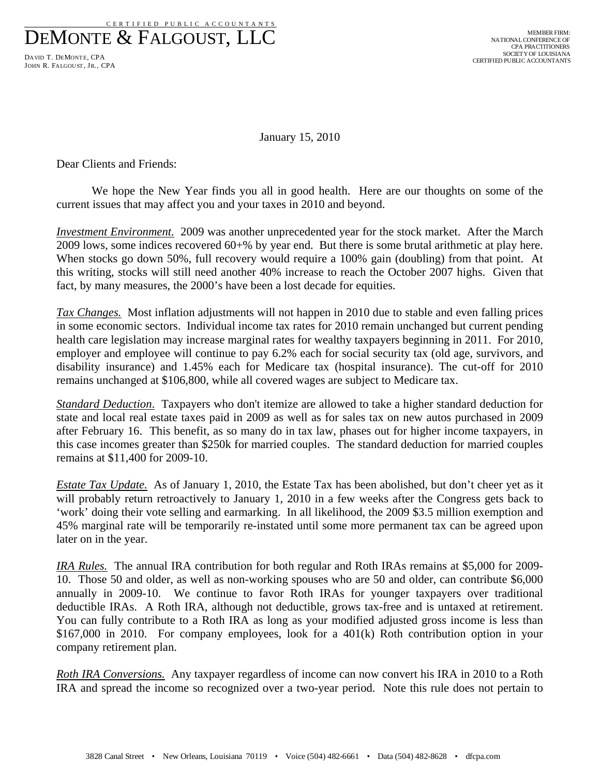CERT IFIED PUBLIC ACCOUNTANTS

DEMONTE & FALGOUST, LLC

DAVID T. DEMONTE, CPA JOHN R. FALGOUST, JR., CPA

January 15, 2010

Dear Clients and Friends:

 We hope the New Year finds you all in good health. Here are our thoughts on some of the current issues that may affect you and your taxes in 2010 and beyond.

*Investment Environment.* 2009 was another unprecedented year for the stock market. After the March 2009 lows, some indices recovered 60+% by year end. But there is some brutal arithmetic at play here. When stocks go down 50%, full recovery would require a 100% gain (doubling) from that point. At this writing, stocks will still need another 40% increase to reach the October 2007 highs. Given that fact, by many measures, the 2000's have been a lost decade for equities.

*Tax Changes.* Most inflation adjustments will not happen in 2010 due to stable and even falling prices in some economic sectors. Individual income tax rates for 2010 remain unchanged but current pending health care legislation may increase marginal rates for wealthy taxpayers beginning in 2011. For 2010, employer and employee will continue to pay 6.2% each for social security tax (old age, survivors, and disability insurance) and 1.45% each for Medicare tax (hospital insurance). The cut-off for 2010 remains unchanged at \$106,800, while all covered wages are subject to Medicare tax.

*Standard Deduction*. Taxpayers who don't itemize are allowed to take a higher standard deduction for state and local real estate taxes paid in 2009 as well as for sales tax on new autos purchased in 2009 after February 16. This benefit, as so many do in tax law, phases out for higher income taxpayers, in this case incomes greater than \$250k for married couples. The standard deduction for married couples remains at \$11,400 for 2009-10.

*Estate Tax Update.* As of January 1, 2010, the Estate Tax has been abolished, but don't cheer yet as it will probably return retroactively to January 1, 2010 in a few weeks after the Congress gets back to 'work' doing their vote selling and earmarking. In all likelihood, the 2009 \$3.5 million exemption and 45% marginal rate will be temporarily re-instated until some more permanent tax can be agreed upon later on in the year.

*IRA Rules.* The annual IRA contribution for both regular and Roth IRAs remains at \$5,000 for 2009- 10. Those 50 and older, as well as non-working spouses who are 50 and older, can contribute \$6,000 annually in 2009-10. We continue to favor Roth IRAs for younger taxpayers over traditional deductible IRAs. A Roth IRA, although not deductible, grows tax-free and is untaxed at retirement. You can fully contribute to a Roth IRA as long as your modified adjusted gross income is less than \$167,000 in 2010. For company employees, look for a 401(k) Roth contribution option in your company retirement plan.

*Roth IRA Conversions.* Any taxpayer regardless of income can now convert his IRA in 2010 to a Roth IRA and spread the income so recognized over a two-year period. Note this rule does not pertain to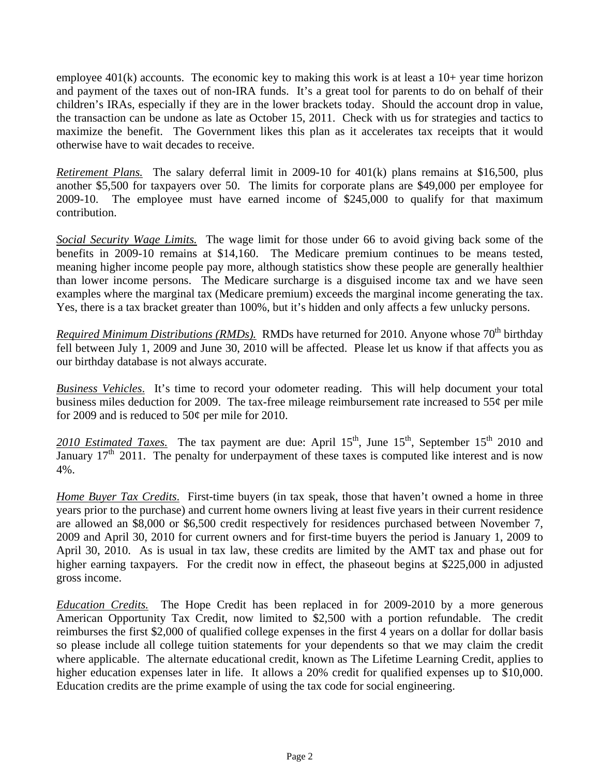employee  $401(k)$  accounts. The economic key to making this work is at least a  $10+$  year time horizon and payment of the taxes out of non-IRA funds. It's a great tool for parents to do on behalf of their children's IRAs, especially if they are in the lower brackets today. Should the account drop in value, the transaction can be undone as late as October 15, 2011. Check with us for strategies and tactics to maximize the benefit. The Government likes this plan as it accelerates tax receipts that it would otherwise have to wait decades to receive.

*Retirement Plans.* The salary deferral limit in 2009-10 for 401(k) plans remains at \$16,500, plus another \$5,500 for taxpayers over 50. The limits for corporate plans are \$49,000 per employee for 2009-10. The employee must have earned income of \$245,000 to qualify for that maximum contribution.

*Social Security Wage Limits.* The wage limit for those under 66 to avoid giving back some of the benefits in 2009-10 remains at \$14,160. The Medicare premium continues to be means tested, meaning higher income people pay more, although statistics show these people are generally healthier than lower income persons. The Medicare surcharge is a disguised income tax and we have seen examples where the marginal tax (Medicare premium) exceeds the marginal income generating the tax. Yes, there is a tax bracket greater than 100%, but it's hidden and only affects a few unlucky persons.

*Required Minimum Distributions (RMDs).* RMDs have returned for 2010. Anyone whose 70<sup>th</sup> birthday fell between July 1, 2009 and June 30, 2010 will be affected. Please let us know if that affects you as our birthday database is not always accurate.

*Business Vehicles*. It's time to record your odometer reading. This will help document your total business miles deduction for 2009. The tax-free mileage reimbursement rate increased to 55¢ per mile for 2009 and is reduced to 50¢ per mile for 2010.

2010 Estimated Taxes. The tax payment are due: April  $15<sup>th</sup>$ , June  $15<sup>th</sup>$ , September  $15<sup>th</sup>$  2010 and January  $17<sup>th</sup>$  2011. The penalty for underpayment of these taxes is computed like interest and is now 4%.

*Home Buyer Tax Credits*. First-time buyers (in tax speak, those that haven't owned a home in three years prior to the purchase) and current home owners living at least five years in their current residence are allowed an \$8,000 or \$6,500 credit respectively for residences purchased between November 7, 2009 and April 30, 2010 for current owners and for first-time buyers the period is January 1, 2009 to April 30, 2010. As is usual in tax law, these credits are limited by the AMT tax and phase out for higher earning taxpayers. For the credit now in effect, the phaseout begins at \$225,000 in adjusted gross income.

*Education Credits.* The Hope Credit has been replaced in for 2009-2010 by a more generous American Opportunity Tax Credit, now limited to \$2,500 with a portion refundable. The credit reimburses the first \$2,000 of qualified college expenses in the first 4 years on a dollar for dollar basis so please include all college tuition statements for your dependents so that we may claim the credit where applicable. The alternate educational credit, known as The Lifetime Learning Credit, applies to higher education expenses later in life. It allows a 20% credit for qualified expenses up to \$10,000. Education credits are the prime example of using the tax code for social engineering.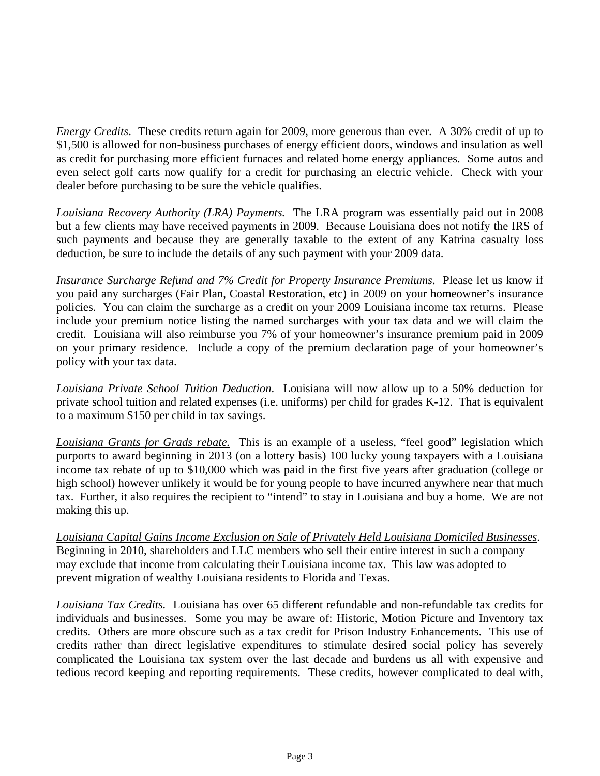*Energy Credits*. These credits return again for 2009, more generous than ever. A 30% credit of up to \$1,500 is allowed for non-business purchases of energy efficient doors, windows and insulation as well as credit for purchasing more efficient furnaces and related home energy appliances. Some autos and even select golf carts now qualify for a credit for purchasing an electric vehicle. Check with your dealer before purchasing to be sure the vehicle qualifies.

*Louisiana Recovery Authority (LRA) Payments.* The LRA program was essentially paid out in 2008 but a few clients may have received payments in 2009. Because Louisiana does not notify the IRS of such payments and because they are generally taxable to the extent of any Katrina casualty loss deduction, be sure to include the details of any such payment with your 2009 data.

*Insurance Surcharge Refund and 7% Credit for Property Insurance Premiums*. Please let us know if you paid any surcharges (Fair Plan, Coastal Restoration, etc) in 2009 on your homeowner's insurance policies. You can claim the surcharge as a credit on your 2009 Louisiana income tax returns. Please include your premium notice listing the named surcharges with your tax data and we will claim the credit. Louisiana will also reimburse you 7% of your homeowner's insurance premium paid in 2009 on your primary residence. Include a copy of the premium declaration page of your homeowner's policy with your tax data.

*Louisiana Private School Tuition Deduction*. Louisiana will now allow up to a 50% deduction for private school tuition and related expenses (i.e. uniforms) per child for grades K-12. That is equivalent to a maximum \$150 per child in tax savings.

*Louisiana Grants for Grads rebate.* This is an example of a useless, "feel good" legislation which purports to award beginning in 2013 (on a lottery basis) 100 lucky young taxpayers with a Louisiana income tax rebate of up to \$10,000 which was paid in the first five years after graduation (college or high school) however unlikely it would be for young people to have incurred anywhere near that much tax. Further, it also requires the recipient to "intend" to stay in Louisiana and buy a home. We are not making this up.

*Louisiana Capital Gains Income Exclusion on Sale of Privately Held Louisiana Domiciled Businesses*. Beginning in 2010, shareholders and LLC members who sell their entire interest in such a company may exclude that income from calculating their Louisiana income tax. This law was adopted to prevent migration of wealthy Louisiana residents to Florida and Texas.

*Louisiana Tax Credits.* Louisiana has over 65 different refundable and non-refundable tax credits for individuals and businesses. Some you may be aware of: Historic, Motion Picture and Inventory tax credits. Others are more obscure such as a tax credit for Prison Industry Enhancements. This use of credits rather than direct legislative expenditures to stimulate desired social policy has severely complicated the Louisiana tax system over the last decade and burdens us all with expensive and tedious record keeping and reporting requirements. These credits, however complicated to deal with,